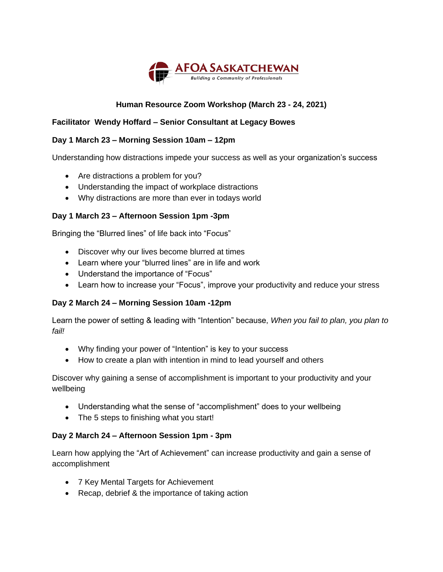

# **Human Resource Zoom Workshop (March 23 - 24, 2021)**

## **Facilitator Wendy Hoffard – Senior Consultant at Legacy Bowes**

### **Day 1 March 23 – Morning Session 10am – 12pm**

Understanding how distractions impede your success as well as your organization's success

- Are distractions a problem for you?
- Understanding the impact of workplace distractions
- Why distractions are more than ever in todays world

#### **Day 1 March 23 – Afternoon Session 1pm -3pm**

Bringing the "Blurred lines" of life back into "Focus"

- Discover why our lives become blurred at times
- Learn where your "blurred lines" are in life and work
- Understand the importance of "Focus"
- Learn how to increase your "Focus", improve your productivity and reduce your stress

#### **Day 2 March 24 – Morning Session 10am -12pm**

Learn the power of setting & leading with "Intention" because, *When you fail to plan, you plan to fail!*

- Why finding your power of "Intention" is key to your success
- How to create a plan with intention in mind to lead yourself and others

Discover why gaining a sense of accomplishment is important to your productivity and your wellbeing

- Understanding what the sense of "accomplishment" does to your wellbeing
- The 5 steps to finishing what you start!

#### **Day 2 March 24 – Afternoon Session 1pm - 3pm**

Learn how applying the "Art of Achievement" can increase productivity and gain a sense of accomplishment

- 7 Key Mental Targets for Achievement
- Recap, debrief & the importance of taking action